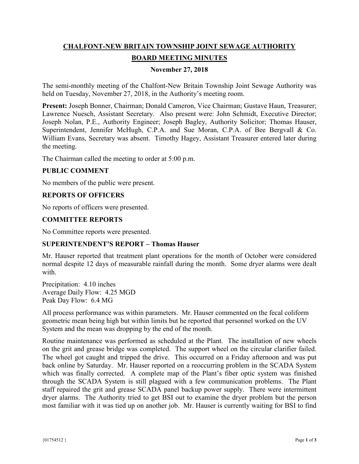# **CHALFONT-NEW BRITAIN TOWNSHIP JOINT SEWAGE AUTHORITY BOARD MEETING MINUTES**

## **November 27, 2018**

The semi-monthly meeting of the Chalfont-New Britain Township Joint Sewage Authority was held on Tuesday, November 27, 2018, in the Authority's meeting room.

**Present:** Joseph Bonner, Chairman; Donald Cameron, Vice Chairman; Gustave Haun, Treasurer; Lawrence Nuesch, Assistant Secretary. Also present were: John Schmidt, Executive Director; Joseph Nolan, P.E., Authority Engineer; Joseph Bagley, Authority Solicitor; Thomas Hauser, Superintendent, Jennifer McHugh, C.P.A. and Sue Moran, C.P.A. of Bee Bergvall & Co. William Evans, Secretary was absent. Timothy Hagey, Assistant Treasurer entered later during the meeting.

The Chairman called the meeting to order at 5:00 p.m.

## **PUBLIC COMMENT**

No members of the public were present.

## **REPORTS OF OFFICERS**

No reports of officers were presented.

#### **COMMITTEE REPORTS**

No Committee reports were presented.

## **SUPERINTENDENT'S REPORT – Thomas Hauser**

Mr. Hauser reported that treatment plant operations for the month of October were considered normal despite 12 days of measurable rainfall during the month. Some dryer alarms were dealt with.

Precipitation: 4.10 inches Average Daily Flow: 4.25 MGD Peak Day Flow: 6.4 MG

All process performance was within parameters. Mr. Hauser commented on the fecal coliform geometric mean being high but within limits but he reported that personnel worked on the UV System and the mean was dropping by the end of the month.

Routine maintenance was performed as scheduled at the Plant. The installation of new wheels on the grit and grease bridge was completed. The support wheel on the circular clarifier failed. The wheel got caught and tripped the drive. This occurred on a Friday afternoon and was put back online by Saturday. Mr. Hauser reported on a reoccurring problem in the SCADA System which was finally corrected. A complete map of the Plant's fiber optic system was finished through the SCADA System is still plagued with a few communication problems. The Plant staff repaired the grit and grease SCADA panel backup power supply. There were intermittent dryer alarms. The Authority tried to get BSI out to examine the dryer problem but the person most familiar with it was tied up on another job. Mr. Hauser is currently waiting for BSI to find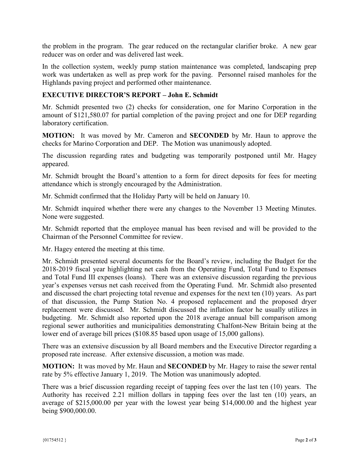the problem in the program. The gear reduced on the rectangular clarifier broke. A new gear reducer was on order and was delivered last week.

In the collection system, weekly pump station maintenance was completed, landscaping prep work was undertaken as well as prep work for the paving. Personnel raised manholes for the Highlands paving project and performed other maintenance.

## **EXECUTIVE DIRECTOR'S REPORT – John E. Schmidt**

Mr. Schmidt presented two (2) checks for consideration, one for Marino Corporation in the amount of \$121,580.07 for partial completion of the paving project and one for DEP regarding laboratory certification.

**MOTION:** It was moved by Mr. Cameron and **SECONDED** by Mr. Haun to approve the checks for Marino Corporation and DEP. The Motion was unanimously adopted.

The discussion regarding rates and budgeting was temporarily postponed until Mr. Hagey appeared.

Mr. Schmidt brought the Board's attention to a form for direct deposits for fees for meeting attendance which is strongly encouraged by the Administration.

Mr. Schmidt confirmed that the Holiday Party will be held on January 10.

Mr. Schmidt inquired whether there were any changes to the November 13 Meeting Minutes. None were suggested.

Mr. Schmidt reported that the employee manual has been revised and will be provided to the Chairman of the Personnel Committee for review.

Mr. Hagey entered the meeting at this time.

Mr. Schmidt presented several documents for the Board's review, including the Budget for the 2018-2019 fiscal year highlighting net cash from the Operating Fund, Total Fund to Expenses and Total Fund III expenses (loans). There was an extensive discussion regarding the previous year's expenses versus net cash received from the Operating Fund. Mr. Schmidt also presented and discussed the chart projecting total revenue and expenses for the next ten (10) years. As part of that discussion, the Pump Station No. 4 proposed replacement and the proposed dryer replacement were discussed. Mr. Schmidt discussed the inflation factor he usually utilizes in budgeting. Mr. Schmidt also reported upon the 2018 average annual bill comparison among regional sewer authorities and municipalities demonstrating Chalfont-New Britain being at the lower end of average bill prices (\$108.85 based upon usage of 15,000 gallons).

There was an extensive discussion by all Board members and the Executive Director regarding a proposed rate increase. After extensive discussion, a motion was made.

**MOTION:** It was moved by Mr. Haun and **SECONDED** by Mr. Hagey to raise the sewer rental rate by 5% effective January 1, 2019. The Motion was unanimously adopted.

There was a brief discussion regarding receipt of tapping fees over the last ten (10) years. The Authority has received 2.21 million dollars in tapping fees over the last ten (10) years, an average of \$215,000.00 per year with the lowest year being \$14,000.00 and the highest year being \$900,000.00.